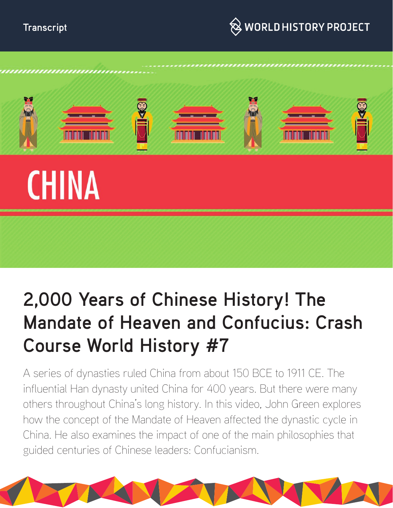



# **2,000 Years of Chinese History! The Mandate of Heaven and Confucius: Crash Course World History #7**

A series of dynasties ruled China from about 150 BCE to 1911 CE. The influential Han dynasty united China for 400 years. But there were many others throughout China's long history. In this video, John Green explores how the concept of the Mandate of Heaven affected the dynastic cycle in China. He also examines the impact of one of the main philosophies that guided centuries of Chinese leaders: Confucianism.

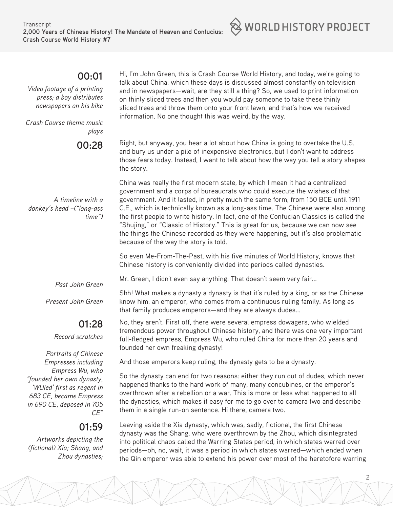#### **00:01**

*Video footage of a printing press; a boy distributes newspapers on his bike*

*Crash Course theme music plays*

**00:28** 

Hi, I'm John Green, this is Crash Course World History, and today, we're going to talk about China, which these days is discussed almost constantly on television and in newspapers—wait, are they still a thing? So, we used to print information on thinly sliced trees and then you would pay someone to take these thinly sliced trees and throw them onto your front lawn, and that's how we received information. No one thought this was weird, by the way.

Right, but anyway, you hear a lot about how China is going to overtake the U.S. and bury us under a pile of inexpensive electronics, but I don't want to address those fears today. Instead, I want to talk about how the way you tell a story shapes the story.

China was really the first modern state, by which I mean it had a centralized government and a corps of bureaucrats who could execute the wishes of that government. And it lasted, in pretty much the same form, from 150 BCE until 1911 C.E., which is technically known as a long-ass time. The Chinese were also among the first people to write history. In fact, one of the Confucian Classics is called the "Shujing," or "Classic of History." This is great for us, because we can now see the things the Chinese recorded as they were happening, but it's also problematic because of the way the story is told.

So even Me-From-The-Past, with his five minutes of World History, knows that Chinese history is conveniently divided into periods called dynasties.

Mr. Green, I didn't even say anything. That doesn't seem very fair...

Shh! What makes a dynasty a dynasty is that it's ruled by a king, or as the Chinese know him, an emperor, who comes from a continuous ruling family. As long as that family produces emperors—and they are always dudes...

No, they aren't. First off, there were several empress dowagers, who wielded tremendous power throughout Chinese history, and there was one very important full-fledged empress, Empress Wu, who ruled China for more than 20 years and founded her own freaking dynasty!

And those emperors keep ruling, the dynasty gets to be a dynasty.

So the dynasty can end for two reasons: either they run out of dudes, which never happened thanks to the hard work of many, many concubines, or the emperor's overthrown after a rebellion or a war. This is more or less what happened to all the dynasties, which makes it easy for me to go over to camera two and describe them in a single run-on sentence. Hi there, camera two.

Leaving aside the Xia dynasty, which was, sadly, fictional, the first Chinese dynasty was the Shang, who were overthrown by the Zhou, which disintegrated into political chaos called the Warring States period, in which states warred over periods—oh, no, wait, it was a period in which states warred—which ended when the Qin emperor was able to extend his power over most of the heretofore warring

*time")*

*donkey's head –("long-ass* 

 *A timeline with a* 

*Past John Green*

*Present John Green*

## **01:28**

*Record scratches*

*Portraits of Chinese Empresses including Empress Wu, who "founded her own dynasty, 'WUled' first as regent in 683 CE, became Empress in 690 CE, deposed in 705 CE"*

## **01:59**

 *Artworks depicting the (fictional) Xia; Shang, and Zhou dynasties;*  $\otimes$  world history project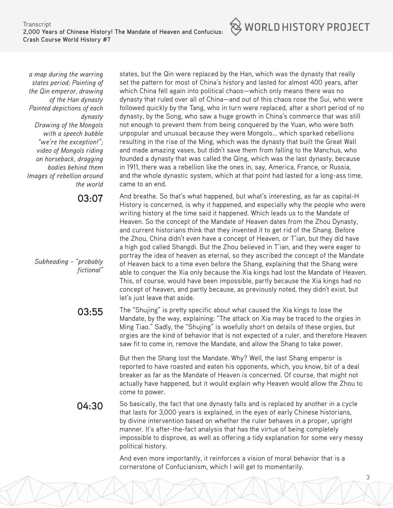

*a map during the warring states period; Painting of the Qin emperor, drawing of the Han dynasty Painted depictions of each dynasty Drawing of the Mongols with a speech bubble "we're the exception!"; video of Mongols riding on horseback, dragging bodies behind them Images of rebellion around the world*

**03:07** 

*Subheading – "probably fictional"*

states, but the Qin were replaced by the Han, which was the dynasty that really set the pattern for most of China's history and lasted for almost 400 years, after which China fell again into political chaos—which only means there was no dynasty that ruled over all of China—and out of this chaos rose the Sui, who were followed quickly by the Tang, who in turn were replaced, after a short period of no dynasty, by the Song, who saw a huge growth in China's commerce that was still not enough to prevent them from being conquered by the Yuan, who were both unpopular and unusual because they were Mongols... which sparked rebellions resulting in the rise of the Ming, which was the dynasty that built the Great Wall and made amazing vases, but didn't save them from falling to the Manchus, who founded a dynasty that was called the Qing, which was the last dynasty, because in 1911, there was a rebellion like the ones in, say, America, France, or Russia, and the whole dynastic system, which at that point had lasted for a long-ass time, came to an end.

And breathe. So that's what happened, but what's interesting, as far as capital-H History is concerned, is why it happened, and especially why the people who were writing history at the time said it happened. Which leads us to the Mandate of Heaven. So the concept of the Mandate of Heaven dates from the Zhou Dynasty, and current historians think that they invented it to get rid of the Shang. Before the Zhou, China didn't even have a concept of Heaven, or T'ian, but they did have a high god called Shangdi. But the Zhou believed in T'ian, and they were eager to portray the idea of heaven as eternal, so they ascribed the concept of the Mandate of Heaven back to a time even before the Shang, explaining that the Shang were able to conquer the Xia only because the Xia kings had lost the Mandate of Heaven. This, of course, would have been impossible, partly because the Xia kings had no concept of heaven, and partly because, as previously noted, they didn't exist, but let's just leave that aside.

**03:55** The "Shujing" is pretty specific about what caused the Xia kings to lose the Mandate, by the way, explaining: "The attack on Xia may be traced to the orgies in Ming Tiao." Sadly, the "Shujing" is woefully short on details of these orgies, but orgies are the kind of behavior that is not expected of a ruler, and therefore Heaven saw fit to come in, remove the Mandate, and allow the Shang to take power.

> But then the Shang lost the Mandate. Why? Well, the last Shang emperor is reported to have roasted and eaten his opponents, which, you know, bit of a deal breaker as far as the Mandate of Heaven is concerned. Of course, that might not actually have happened, but it would explain why Heaven would allow the Zhou to come to power.

**04:30** So basically, the fact that one dynasty falls and is replaced by another in a cycle that lasts for 3,000 years is explained, in the eyes of early Chinese historians, by divine intervention based on whether the ruler behaves in a proper, upright manner. It's after-the-fact analysis that has the virtue of being completely impossible to disprove, as well as offering a tidy explanation for some very messy political history.

> And even more importantly, it reinforces a vision of moral behavior that is a cornerstone of Confucianism, which I will get to momentarily.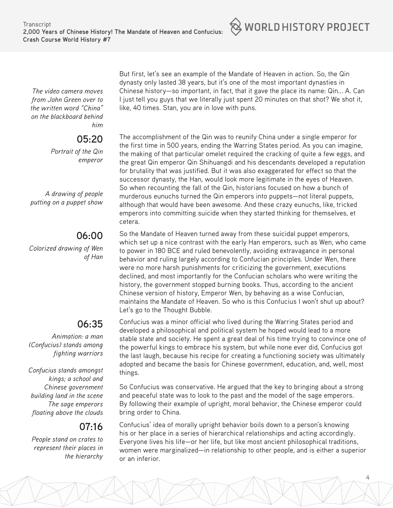

*The video camera moves from John Green over to the written word "China" on the blackboard behind him*

## **05:20**

*Portrait of the Qin emperor*

*A drawing of people putting on a puppet show*

#### **06:00**

*Colorized drawing of Wen of Han*

## **06:35**

*Animation: a man (Confucius) stands among fighting warriors*

*Confucius stands amongst kings; a school and Chinese government building land in the scene The sage emperors floating above the clouds*

## **07:16**

*People stand on crates to represent their places in the hierarchy*

But first, let's see an example of the Mandate of Heaven in action. So, the Qin dynasty only lasted 38 years, but it's one of the most important dynasties in Chinese history—so important, in fact, that it gave the place its name: Qin... A. Can I just tell you guys that we literally just spent 20 minutes on that shot? We shot it, like, 40 times. Stan, you are in love with puns.

The accomplishment of the Qin was to reunify China under a single emperor for the first time in 500 years, ending the Warring States period. As you can imagine, the making of that particular omelet required the cracking of quite a few eggs, and the great Qin emperor Qin Shihuangdi and his descendants developed a reputation for brutality that was justified. But it was also exaggerated for effect so that the successor dynasty, the Han, would look more legitimate in the eyes of Heaven. So when recounting the fall of the Qin, historians focused on how a bunch of murderous eunuchs turned the Qin emperors into puppets—not literal puppets, although that would have been awesome. And these crazy eunuchs, like, tricked emperors into committing suicide when they started thinking for themselves, et cetera.

So the Mandate of Heaven turned away from these suicidal puppet emperors, which set up a nice contrast with the early Han emperors, such as Wen, who came to power in 180 BCE and ruled benevolently, avoiding extravagance in personal behavior and ruling largely according to Confucian principles. Under Wen, there were no more harsh punishments for criticizing the government, executions declined, and most importantly for the Confucian scholars who were writing the history, the government stopped burning books. Thus, according to the ancient Chinese version of history, Emperor Wen, by behaving as a wise Confucian, maintains the Mandate of Heaven. So who is this Confucius I won't shut up about? Let's go to the Thought Bubble.

Confucius was a minor official who lived during the Warring States period and developed a philosophical and political system he hoped would lead to a more stable state and society. He spent a great deal of his time trying to convince one of the powerful kings to embrace his system, but while none ever did, Confucius got the last laugh, because his recipe for creating a functioning society was ultimately adopted and became the basis for Chinese government, education, and, well, most things.

So Confucius was conservative. He argued that the key to bringing about a strong and peaceful state was to look to the past and the model of the sage emperors. By following their example of upright, moral behavior, the Chinese emperor could bring order to China.

Confucius' idea of morally upright behavior boils down to a person's knowing his or her place in a series of hierarchical relationships and acting accordingly. Everyone lives his life—or her life, but like most ancient philosophical traditions, women were marginalized—in relationship to other people, and is either a superior or an inferior.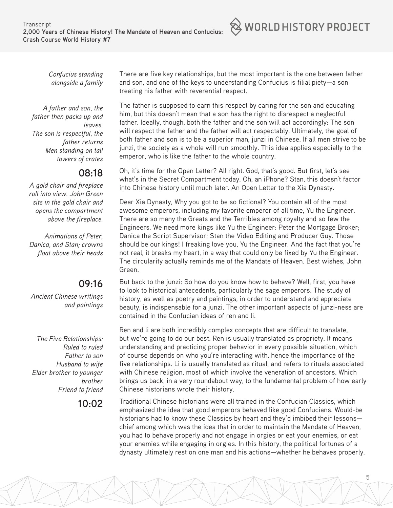

*Confucius standing alongside a family*

*A father and son, the father then packs up and leaves. The son is respectful, the father returns Men standing on tall towers of crates*

#### **08:18**

*A gold chair and fireplace roll into view. John Green sits in the gold chair and opens the compartment above the fireplace.*

*Animations of Peter, Danica, and Stan; crowns float above their heads*

#### **09:16**

*Ancient Chinese writings and paintings*

*The Five Relationships: Ruled to ruled Father to son Husband to wife Elder brother to younger brother Friend to friend*

There are five key relationships, but the most important is the one between father and son, and one of the keys to understanding Confucius is filial piety—a son treating his father with reverential respect.

The father is supposed to earn this respect by caring for the son and educating him, but this doesn't mean that a son has the right to disrespect a neglectful father. Ideally, though, both the father and the son will act accordingly: The son will respect the father and the father will act respectably. Ultimately, the goal of both father and son is to be a superior man, junzi in Chinese. If all men strive to be junzi, the society as a whole will run smoothly. This idea applies especially to the emperor, who is like the father to the whole country.

Oh, it's time for the Open Letter? All right. God, that's good. But first, let's see what's in the Secret Compartment today. Oh, an iPhone? Stan, this doesn't factor into Chinese history until much later. An Open Letter to the Xia Dynasty.

Dear Xia Dynasty, Why you got to be so fictional? You contain all of the most awesome emperors, including my favorite emperor of all time, Yu the Engineer. There are so many the Greats and the Terribles among royalty and so few the Engineers. We need more kings like Yu the Engineer: Peter the Mortgage Broker; Danica the Script Supervisor; Stan the Video Editing and Producer Guy. Those should be our kings! I freaking love you, Yu the Engineer. And the fact that you're not real, it breaks my heart, in a way that could only be fixed by Yu the Engineer. The circularity actually reminds me of the Mandate of Heaven. Best wishes, John Green.

But back to the junzi: So how do you know how to behave? Well, first, you have to look to historical antecedents, particularly the sage emperors. The study of history, as well as poetry and paintings, in order to understand and appreciate beauty, is indispensable for a junzi. The other important aspects of junzi-ness are contained in the Confucian ideas of ren and li.

Ren and li are both incredibly complex concepts that are difficult to translate, but we're going to do our best. Ren is usually translated as propriety. It means understanding and practicing proper behavior in every possible situation, which of course depends on who you're interacting with, hence the importance of the five relationships. Li is usually translated as ritual, and refers to rituals associated with Chinese religion, most of which involve the veneration of ancestors. Which brings us back, in a very roundabout way, to the fundamental problem of how early Chinese historians wrote their history.

**10:02** Traditional Chinese historians were all trained in the Confucian Classics, which emphasized the idea that good emperors behaved like good Confucians. Would-be historians had to know these Classics by heart and they'd imbibed their lessons chief among which was the idea that in order to maintain the Mandate of Heaven, you had to behave properly and not engage in orgies or eat your enemies, or eat your enemies while engaging in orgies. In this history, the political fortunes of a dynasty ultimately rest on one man and his actions—whether he behaves properly.